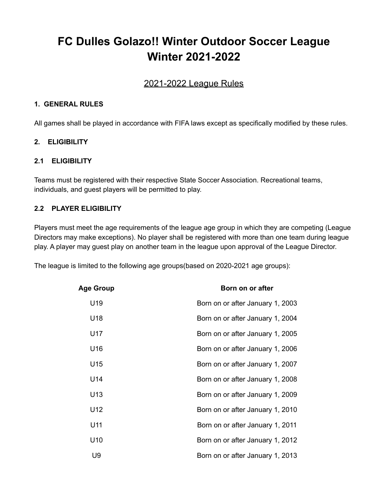# **FC Dulles Golazo!! Winter Outdoor Soccer League Winter 2021-2022**

# 2021-2022 League Rules

#### **1. GENERAL RULES**

All games shall be played in accordance with FIFA laws except as specifically modified by these rules.

#### **2. ELIGIBILITY**

#### **2.1 ELIGIBILITY**

Teams must be registered with their respective State Soccer Association. Recreational teams, individuals, and guest players will be permitted to play.

#### **2.2 PLAYER ELIGIBILITY**

Players must meet the age requirements of the league age group in which they are competing (League Directors may make exceptions). No player shall be registered with more than one team during league play. A player may guest play on another team in the league upon approval of the League Director.

The league is limited to the following age groups(based on 2020-2021 age groups):

| <b>Age Group</b> | Born on or after                 |
|------------------|----------------------------------|
| U19              | Born on or after January 1, 2003 |
| U18              | Born on or after January 1, 2004 |
| U17              | Born on or after January 1, 2005 |
| U16              | Born on or after January 1, 2006 |
| U15              | Born on or after January 1, 2007 |
| U14              | Born on or after January 1, 2008 |
| U13              | Born on or after January 1, 2009 |
| U12              | Born on or after January 1, 2010 |
| U11              | Born on or after January 1, 2011 |
| U10              | Born on or after January 1, 2012 |
| U9               | Born on or after January 1, 2013 |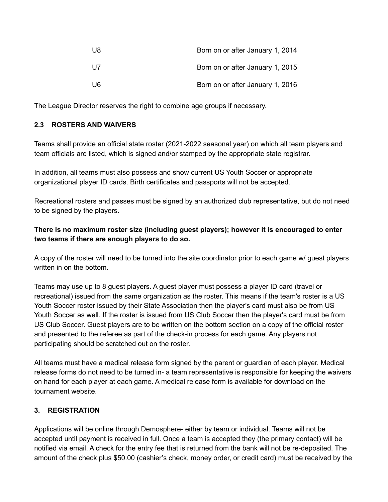| U8 | Born on or after January 1, 2014 |
|----|----------------------------------|
| U7 | Born on or after January 1, 2015 |
| U6 | Born on or after January 1, 2016 |

The League Director reserves the right to combine age groups if necessary.

# **2.3 ROSTERS AND WAIVERS**

Teams shall provide an official state roster (2021-2022 seasonal year) on which all team players and team officials are listed, which is signed and/or stamped by the appropriate state registrar.

In addition, all teams must also possess and show current US Youth Soccer or appropriate organizational player ID cards. Birth certificates and passports will not be accepted.

Recreational rosters and passes must be signed by an authorized club representative, but do not need to be signed by the players.

# **There is no maximum roster size (including guest players); however it is encouraged to enter two teams if there are enough players to do so.**

A copy of the roster will need to be turned into the site coordinator prior to each game w/ guest players written in on the bottom.

Teams may use up to 8 guest players. A guest player must possess a player ID card (travel or recreational) issued from the same organization as the roster. This means if the team's roster is a US Youth Soccer roster issued by their State Association then the player's card must also be from US Youth Soccer as well. If the roster is issued from US Club Soccer then the player's card must be from US Club Soccer. Guest players are to be written on the bottom section on a copy of the official roster and presented to the referee as part of the check-in process for each game. Any players not participating should be scratched out on the roster.

All teams must have a medical release form signed by the parent or guardian of each player. Medical release forms do not need to be turned in- a team representative is responsible for keeping the waivers on hand for each player at each game. A medical release form is available for download on the tournament website.

#### **3. REGISTRATION**

Applications will be online through Demosphere- either by team or individual. Teams will not be accepted until payment is received in full. Once a team is accepted they (the primary contact) will be notified via email. A check for the entry fee that is returned from the bank will not be re-deposited. The amount of the check plus \$50.00 (cashier's check, money order, or credit card) must be received by the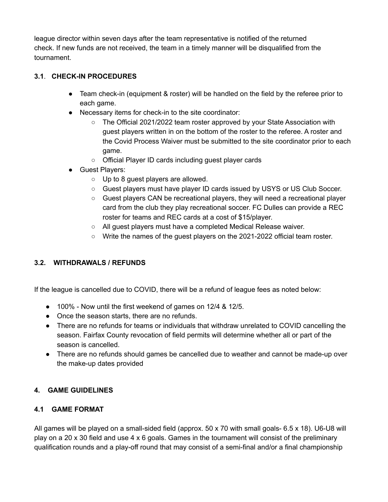league director within seven days after the team representative is notified of the returned check. If new funds are not received, the team in a timely manner will be disqualified from the tournament.

# **3.1**. **CHECK-IN PROCEDURES**

- Team check-in (equipment & roster) will be handled on the field by the referee prior to each game.
- Necessary items for check-in to the site coordinator:
	- The Official 2021/2022 team roster approved by your State Association with guest players written in on the bottom of the roster to the referee. A roster and the Covid Process Waiver must be submitted to the site coordinator prior to each game.
	- Official Player ID cards including guest player cards
- Guest Players:
	- Up to 8 guest players are allowed.
	- Guest players must have player ID cards issued by USYS or US Club Soccer.
	- Guest players CAN be recreational players, they will need a recreational player card from the club they play recreational soccer. FC Dulles can provide a REC roster for teams and REC cards at a cost of \$15/player.
	- All guest players must have a completed Medical Release waiver.
	- Write the names of the guest players on the 2021-2022 official team roster.

# **3.2. WITHDRAWALS / REFUNDS**

If the league is cancelled due to COVID, there will be a refund of league fees as noted below:

- 100% Now until the first weekend of games on 12/4 & 12/5.
- Once the season starts, there are no refunds.
- There are no refunds for teams or individuals that withdraw unrelated to COVID cancelling the season. Fairfax County revocation of field permits will determine whether all or part of the season is cancelled.
- There are no refunds should games be cancelled due to weather and cannot be made-up over the make-up dates provided

#### **4. GAME GUIDELINES**

## **4.1 GAME FORMAT**

All games will be played on a small-sided field (approx. 50 x 70 with small goals- 6.5 x 18). U6-U8 will play on a 20 x 30 field and use 4 x 6 goals. Games in the tournament will consist of the preliminary qualification rounds and a play-off round that may consist of a semi-final and/or a final championship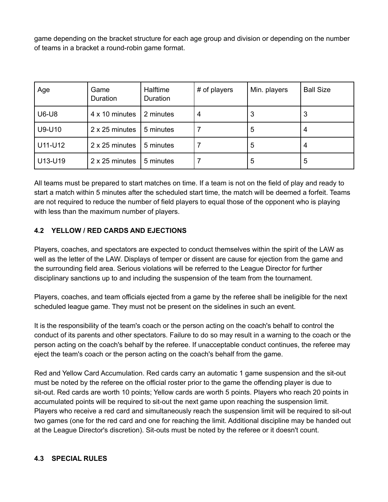game depending on the bracket structure for each age group and division or depending on the number of teams in a bracket a round-robin game format.

| Age          | Game<br>Duration | Halftime<br>Duration | # of players | Min. players | <b>Ball Size</b> |
|--------------|------------------|----------------------|--------------|--------------|------------------|
| <b>U6-U8</b> | 4 x 10 minutes   | 2 minutes            | 4            | З            | 3                |
| U9-U10       | 2 x 25 minutes   | 5 minutes            |              | 5            | 4                |
| U11-U12      | 2 x 25 minutes   | 5 minutes            |              | 5            | 4                |
| U13-U19      | 2 x 25 minutes   | 5 minutes            |              | 5            | 5                |

All teams must be prepared to start matches on time. If a team is not on the field of play and ready to start a match within 5 minutes after the scheduled start time, the match will be deemed a forfeit. Teams are not required to reduce the number of field players to equal those of the opponent who is playing with less than the maximum number of players.

# **4.2 YELLOW / RED CARDS AND EJECTIONS**

Players, coaches, and spectators are expected to conduct themselves within the spirit of the LAW as well as the letter of the LAW. Displays of temper or dissent are cause for ejection from the game and the surrounding field area. Serious violations will be referred to the League Director for further disciplinary sanctions up to and including the suspension of the team from the tournament.

Players, coaches, and team officials ejected from a game by the referee shall be ineligible for the next scheduled league game. They must not be present on the sidelines in such an event.

It is the responsibility of the team's coach or the person acting on the coach's behalf to control the conduct of its parents and other spectators. Failure to do so may result in a warning to the coach or the person acting on the coach's behalf by the referee. If unacceptable conduct continues, the referee may eject the team's coach or the person acting on the coach's behalf from the game.

Red and Yellow Card Accumulation. Red cards carry an automatic 1 game suspension and the sit-out must be noted by the referee on the official roster prior to the game the offending player is due to sit-out. Red cards are worth 10 points; Yellow cards are worth 5 points. Players who reach 20 points in accumulated points will be required to sit-out the next game upon reaching the suspension limit. Players who receive a red card and simultaneously reach the suspension limit will be required to sit-out two games (one for the red card and one for reaching the limit. Additional discipline may be handed out at the League Director's discretion). Sit-outs must be noted by the referee or it doesn't count.

#### **4.3 SPECIAL RULES**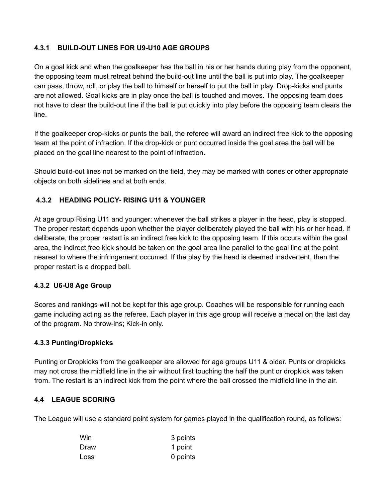# **4.3.1 BUILD-OUT LINES FOR U9-U10 AGE GROUPS**

On a goal kick and when the goalkeeper has the ball in his or her hands during play from the opponent, the opposing team must retreat behind the build-out line until the ball is put into play. The goalkeeper can pass, throw, roll, or play the ball to himself or herself to put the ball in play. Drop-kicks and punts are not allowed. Goal kicks are in play once the ball is touched and moves. The opposing team does not have to clear the build-out line if the ball is put quickly into play before the opposing team clears the line.

If the goalkeeper drop-kicks or punts the ball, the referee will award an indirect free kick to the opposing team at the point of infraction. If the drop-kick or punt occurred inside the goal area the ball will be placed on the goal line nearest to the point of infraction.

Should build-out lines not be marked on the field, they may be marked with cones or other appropriate objects on both sidelines and at both ends.

#### **4.3.2 HEADING POLICY- RISING U11 & YOUNGER**

At age group Rising U11 and younger: whenever the ball strikes a player in the head, play is stopped. The proper restart depends upon whether the player deliberately played the ball with his or her head. If deliberate, the proper restart is an indirect free kick to the opposing team. If this occurs within the goal area, the indirect free kick should be taken on the goal area line parallel to the goal line at the point nearest to where the infringement occurred. If the play by the head is deemed inadvertent, then the proper restart is a dropped ball.

#### **4.3.2 U6-U8 Age Group**

Scores and rankings will not be kept for this age group. Coaches will be responsible for running each game including acting as the referee. Each player in this age group will receive a medal on the last day of the program. No throw-ins; Kick-in only.

#### **4.3.3 Punting/Dropkicks**

Punting or Dropkicks from the goalkeeper are allowed for age groups U11 & older. Punts or dropkicks may not cross the midfield line in the air without first touching the half the punt or dropkick was taken from. The restart is an indirect kick from the point where the ball crossed the midfield line in the air.

#### **4.4 LEAGUE SCORING**

The League will use a standard point system for games played in the qualification round, as follows:

| Win  | 3 points |
|------|----------|
| Draw | 1 point  |
| Loss | 0 points |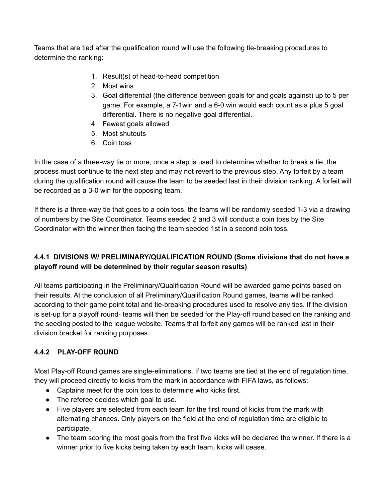Teams that are tied after the qualification round will use the following tie-breaking procedures to determine the ranking:

- 1. Result(s) of head-to-head competition
- 2. Most wins
- 3. Goal differential (the difference between goals for and goals against) up to 5 per game. For example, a 7-1win and a 6-0 win would each count as a plus 5 goal differential. There is no negative goal differential.
- 4. Fewest goals allowed
- 5. Most shutouts
- 6. Coin toss

In the case of a three-way tie or more, once a step is used to determine whether to break a tie, the process must continue to the next step and may not revert to the previous step. Any forfeit by a team during the qualification round will cause the team to be seeded last in their division ranking. A forfeit will be recorded as a 3-0 win for the opposing team.

If there is a three-way tie that goes to a coin toss, the teams will be randomly seeded 1-3 via a drawing of numbers by the Site Coordinator. Teams seeded 2 and 3 will conduct a coin toss by the Site Coordinator with the winner then facing the team seeded 1st in a second coin toss.

# **4.4.1 DIVISIONS W/ PRELIMINARY/QUALIFICATION ROUND (Some divisions that do not have a playoff round will be determined by their regular season results)**

All teams participating in the Preliminary/Qualification Round will be awarded game points based on their results. At the conclusion of all Preliminary/Qualification Round games, teams will be ranked according to their game point total and tie-breaking procedures used to resolve any ties. If the division is set-up for a playoff round- teams will then be seeded for the Play-off round based on the ranking and the seeding posted to the league website. Teams that forfeit any games will be ranked last in their division bracket for ranking purposes.

# **4.4.2 PLAY-OFF ROUND**

Most Play-off Round games are single-eliminations. If two teams are tied at the end of regulation time, they will proceed directly to kicks from the mark in accordance with FIFA laws, as follows:

- Captains meet for the coin toss to determine who kicks first.
- The referee decides which goal to use.
- Five players are selected from each team for the first round of kicks from the mark with alternating chances. Only players on the field at the end of regulation time are eligible to participate.
- The team scoring the most goals from the first five kicks will be declared the winner. If there is a winner prior to five kicks being taken by each team, kicks will cease.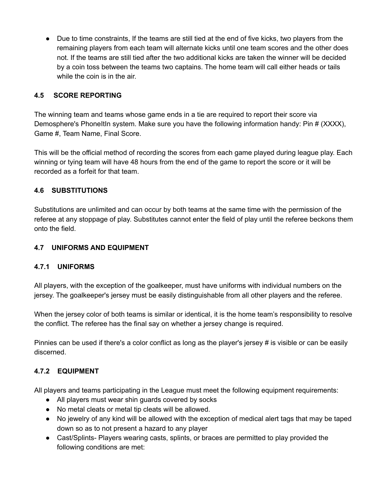● Due to time constraints, If the teams are still tied at the end of five kicks, two players from the remaining players from each team will alternate kicks until one team scores and the other does not. If the teams are still tied after the two additional kicks are taken the winner will be decided by a coin toss between the teams two captains. The home team will call either heads or tails while the coin is in the air.

# **4.5 SCORE REPORTING**

The winning team and teams whose game ends in a tie are required to report their score via Demosphere's PhoneItIn system. Make sure you have the following information handy: Pin # (XXXX), Game #, Team Name, Final Score.

This will be the official method of recording the scores from each game played during league play. Each winning or tying team will have 48 hours from the end of the game to report the score or it will be recorded as a forfeit for that team.

# **4.6 SUBSTITUTIONS**

Substitutions are unlimited and can occur by both teams at the same time with the permission of the referee at any stoppage of play. Substitutes cannot enter the field of play until the referee beckons them onto the field.

#### **4.7 UNIFORMS AND EQUIPMENT**

#### **4.7.1 UNIFORMS**

All players, with the exception of the goalkeeper, must have uniforms with individual numbers on the jersey. The goalkeeper's jersey must be easily distinguishable from all other players and the referee.

When the jersey color of both teams is similar or identical, it is the home team's responsibility to resolve the conflict. The referee has the final say on whether a jersey change is required.

Pinnies can be used if there's a color conflict as long as the player's jersey # is visible or can be easily discerned.

# **4.7.2 EQUIPMENT**

All players and teams participating in the League must meet the following equipment requirements:

- All players must wear shin guards covered by socks
- No metal cleats or metal tip cleats will be allowed.
- No jewelry of any kind will be allowed with the exception of medical alert tags that may be taped down so as to not present a hazard to any player
- Cast/Splints- Players wearing casts, splints, or braces are permitted to play provided the following conditions are met: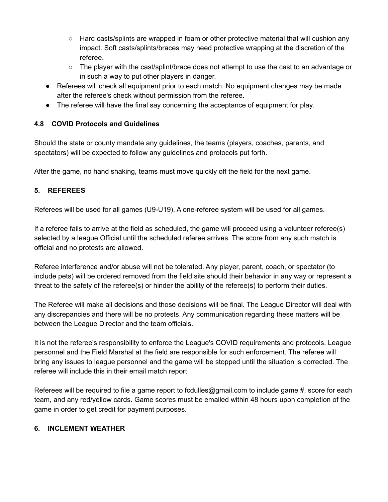- Hard casts/splints are wrapped in foam or other protective material that will cushion any impact. Soft casts/splints/braces may need protective wrapping at the discretion of the referee.
- The player with the cast/splint/brace does not attempt to use the cast to an advantage or in such a way to put other players in danger.
- Referees will check all equipment prior to each match. No equipment changes may be made after the referee's check without permission from the referee.
- The referee will have the final say concerning the acceptance of equipment for play.

# **4.8 COVID Protocols and Guidelines**

Should the state or county mandate any guidelines, the teams (players, coaches, parents, and spectators) will be expected to follow any guidelines and protocols put forth.

After the game, no hand shaking, teams must move quickly off the field for the next game.

# **5. REFEREES**

Referees will be used for all games (U9-U19). A one-referee system will be used for all games.

If a referee fails to arrive at the field as scheduled, the game will proceed using a volunteer referee(s) selected by a league Official until the scheduled referee arrives. The score from any such match is official and no protests are allowed.

Referee interference and/or abuse will not be tolerated. Any player, parent, coach, or spectator (to include pets) will be ordered removed from the field site should their behavior in any way or represent a threat to the safety of the referee(s) or hinder the ability of the referee(s) to perform their duties.

The Referee will make all decisions and those decisions will be final. The League Director will deal with any discrepancies and there will be no protests. Any communication regarding these matters will be between the League Director and the team officials.

It is not the referee's responsibility to enforce the League's COVID requirements and protocols. League personnel and the Field Marshal at the field are responsible for such enforcement. The referee will bring any issues to league personnel and the game will be stopped until the situation is corrected. The referee will include this in their email match report

Referees will be required to file a game report to fcdulles@gmail.com to include game #, score for each team, and any red/yellow cards. Game scores must be emailed within 48 hours upon completion of the game in order to get credit for payment purposes.

# **6. INCLEMENT WEATHER**